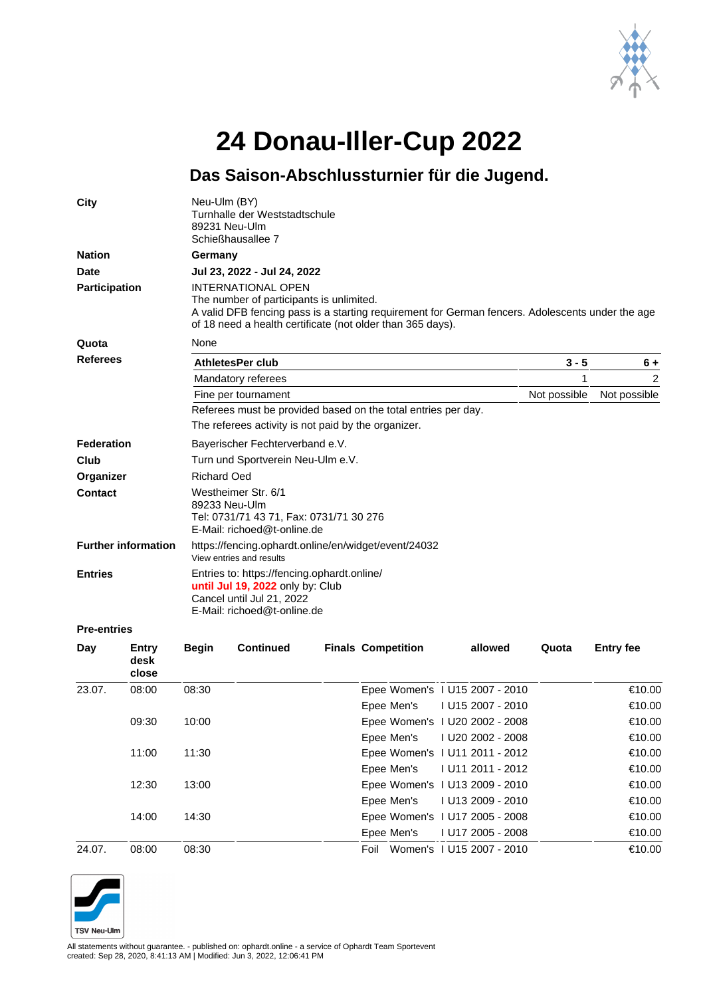

## **24 Donau-Iller-Cup 2022**

## **Das Saison-Abschlussturnier für die Jugend.**

| 23.07.                     | 08:00                  | 08:30                                                                                                                                       |                                                                                                                                                                                                                                         |  |                           | Epee Women's 1 U15 2007 - 2010 |       | €10.00           |  |  |  |
|----------------------------|------------------------|---------------------------------------------------------------------------------------------------------------------------------------------|-----------------------------------------------------------------------------------------------------------------------------------------------------------------------------------------------------------------------------------------|--|---------------------------|--------------------------------|-------|------------------|--|--|--|
| Day                        | Entry<br>desk<br>close | <b>Begin</b>                                                                                                                                | <b>Continued</b>                                                                                                                                                                                                                        |  | <b>Finals Competition</b> | allowed                        | Quota | <b>Entry fee</b> |  |  |  |
| <b>Pre-entries</b>         |                        |                                                                                                                                             |                                                                                                                                                                                                                                         |  |                           |                                |       |                  |  |  |  |
| <b>Entries</b>             |                        | Entries to: https://fencing.ophardt.online/<br>until Jul 19, 2022 only by: Club<br>Cancel until Jul 21, 2022<br>E-Mail: richoed@t-online.de |                                                                                                                                                                                                                                         |  |                           |                                |       |                  |  |  |  |
| <b>Further information</b> |                        | https://fencing.ophardt.online/en/widget/event/24032<br>View entries and results                                                            |                                                                                                                                                                                                                                         |  |                           |                                |       |                  |  |  |  |
| Contact                    |                        |                                                                                                                                             | Westheimer Str. 6/1<br>89233 Neu-Ulm<br>Tel: 0731/71 43 71, Fax: 0731/71 30 276<br>E-Mail: richoed@t-online.de                                                                                                                          |  |                           |                                |       |                  |  |  |  |
| Organizer                  |                        |                                                                                                                                             | <b>Richard Oed</b>                                                                                                                                                                                                                      |  |                           |                                |       |                  |  |  |  |
| Club                       |                        | Turn und Sportverein Neu-Ulm e.V.                                                                                                           |                                                                                                                                                                                                                                         |  |                           |                                |       |                  |  |  |  |
| <b>Federation</b>          |                        | Bayerischer Fechterverband e.V.                                                                                                             |                                                                                                                                                                                                                                         |  |                           |                                |       |                  |  |  |  |
|                            |                        |                                                                                                                                             | The referees activity is not paid by the organizer.                                                                                                                                                                                     |  |                           |                                |       |                  |  |  |  |
| <b>Referees</b>            |                        |                                                                                                                                             | Fine per tournament<br>Referees must be provided based on the total entries per day.                                                                                                                                                    |  |                           |                                |       |                  |  |  |  |
|                            |                        |                                                                                                                                             | Mandatory referees                                                                                                                                                                                                                      |  |                           |                                |       | Not possible     |  |  |  |
|                            |                        |                                                                                                                                             | <b>AthletesPer club</b>                                                                                                                                                                                                                 |  |                           |                                |       | $6+$<br>2        |  |  |  |
| Quota                      |                        |                                                                                                                                             | None<br>$3 - 5$                                                                                                                                                                                                                         |  |                           |                                |       |                  |  |  |  |
| <b>Participation</b>       |                        |                                                                                                                                             | <b>INTERNATIONAL OPEN</b><br>The number of participants is unlimited.<br>A valid DFB fencing pass is a starting requirement for German fencers. Adolescents under the age<br>of 18 need a health certificate (not older than 365 days). |  |                           |                                |       |                  |  |  |  |
| Date                       |                        |                                                                                                                                             | Jul 23, 2022 - Jul 24, 2022                                                                                                                                                                                                             |  |                           |                                |       |                  |  |  |  |
| <b>Nation</b>              |                        | Germany                                                                                                                                     |                                                                                                                                                                                                                                         |  |                           |                                |       |                  |  |  |  |
| City                       |                        | Neu-Ulm (BY)<br>89231 Neu-Ulm                                                                                                               | Turnhalle der Weststadtschule<br>Schießhausallee 7                                                                                                                                                                                      |  |                           |                                |       |                  |  |  |  |

|        |       |       | Epee Men's 1 U15 2007 - 2010   | €10.00 |
|--------|-------|-------|--------------------------------|--------|
|        | 09:30 | 10:00 | Epee Women's 1 U20 2002 - 2008 | €10.00 |
|        |       |       | Epee Men's 1 U20 2002 - 2008   | €10.00 |
|        | 11:00 | 11:30 | Epee Women's 1 U11 2011 - 2012 | €10.00 |
|        |       |       | Epee Men's 1 U11 2011 - 2012   | €10.00 |
|        | 12:30 | 13:00 | Epee Women's 1 U13 2009 - 2010 | €10.00 |
|        |       |       | Epee Men's 1 U13 2009 - 2010   | €10.00 |
|        | 14:00 | 14:30 | Epee Women's 1 U17 2005 - 2008 | €10.00 |
|        |       |       | Epee Men's 1 U17 2005 - 2008   | €10.00 |
| 24.07. | 08:00 | 08:30 | Foil Women's 1 U15 2007 - 2010 | €10.00 |